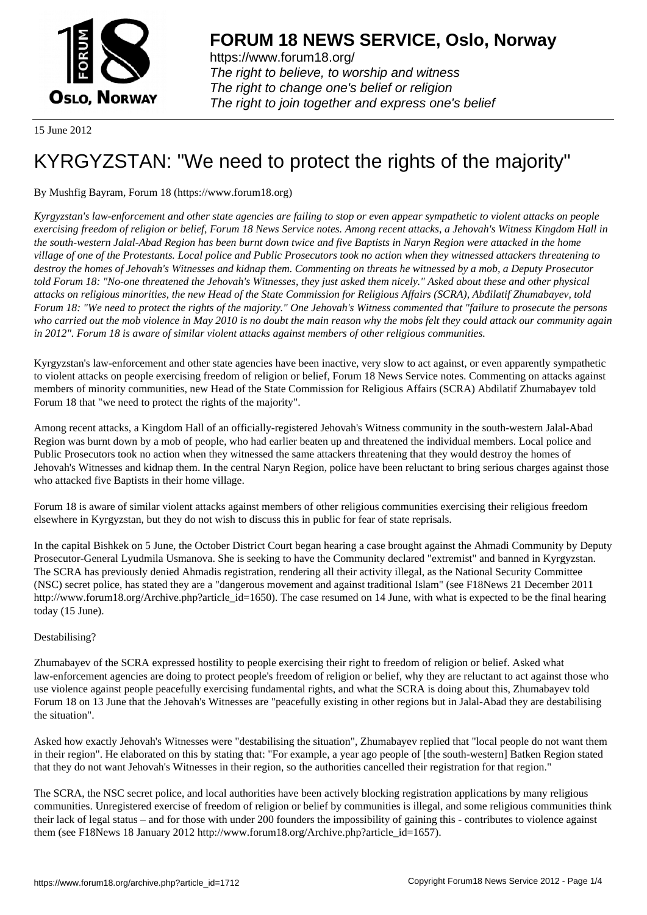

https://www.forum18.org/ The right to believe, to worship and witness The right to change one's belief or religion [The right to join together a](https://www.forum18.org/)nd express one's belief

15 June 2012

# [KYRGYZSTAN](https://www.forum18.org): "We need to protect the rights of the majority"

## By Mushfig Bayram, Forum 18 (https://www.forum18.org)

*Kyrgyzstan's law-enforcement and other state agencies are failing to stop or even appear sympathetic to violent attacks on people exercising freedom of religion or belief, Forum 18 News Service notes. Among recent attacks, a Jehovah's Witness Kingdom Hall in the south-western Jalal-Abad Region has been burnt down twice and five Baptists in Naryn Region were attacked in the home village of one of the Protestants. Local police and Public Prosecutors took no action when they witnessed attackers threatening to destroy the homes of Jehovah's Witnesses and kidnap them. Commenting on threats he witnessed by a mob, a Deputy Prosecutor told Forum 18: "No-one threatened the Jehovah's Witnesses, they just asked them nicely." Asked about these and other physical attacks on religious minorities, the new Head of the State Commission for Religious Affairs (SCRA), Abdilatif Zhumabayev, told Forum 18: "We need to protect the rights of the majority." One Jehovah's Witness commented that "failure to prosecute the persons who carried out the mob violence in May 2010 is no doubt the main reason why the mobs felt they could attack our community again in 2012". Forum 18 is aware of similar violent attacks against members of other religious communities.*

Kyrgyzstan's law-enforcement and other state agencies have been inactive, very slow to act against, or even apparently sympathetic to violent attacks on people exercising freedom of religion or belief, Forum 18 News Service notes. Commenting on attacks against members of minority communities, new Head of the State Commission for Religious Affairs (SCRA) Abdilatif Zhumabayev told Forum 18 that "we need to protect the rights of the majority".

Among recent attacks, a Kingdom Hall of an officially-registered Jehovah's Witness community in the south-western Jalal-Abad Region was burnt down by a mob of people, who had earlier beaten up and threatened the individual members. Local police and Public Prosecutors took no action when they witnessed the same attackers threatening that they would destroy the homes of Jehovah's Witnesses and kidnap them. In the central Naryn Region, police have been reluctant to bring serious charges against those who attacked five Baptists in their home village.

Forum 18 is aware of similar violent attacks against members of other religious communities exercising their religious freedom elsewhere in Kyrgyzstan, but they do not wish to discuss this in public for fear of state reprisals.

In the capital Bishkek on 5 June, the October District Court began hearing a case brought against the Ahmadi Community by Deputy Prosecutor-General Lyudmila Usmanova. She is seeking to have the Community declared "extremist" and banned in Kyrgyzstan. The SCRA has previously denied Ahmadis registration, rendering all their activity illegal, as the National Security Committee (NSC) secret police, has stated they are a "dangerous movement and against traditional Islam" (see F18News 21 December 2011 http://www.forum18.org/Archive.php?article\_id=1650). The case resumed on 14 June, with what is expected to be the final hearing today (15 June).

## Destabilising?

Zhumabayev of the SCRA expressed hostility to people exercising their right to freedom of religion or belief. Asked what law-enforcement agencies are doing to protect people's freedom of religion or belief, why they are reluctant to act against those who use violence against people peacefully exercising fundamental rights, and what the SCRA is doing about this, Zhumabayev told Forum 18 on 13 June that the Jehovah's Witnesses are "peacefully existing in other regions but in Jalal-Abad they are destabilising the situation".

Asked how exactly Jehovah's Witnesses were "destabilising the situation", Zhumabayev replied that "local people do not want them in their region". He elaborated on this by stating that: "For example, a year ago people of [the south-western] Batken Region stated that they do not want Jehovah's Witnesses in their region, so the authorities cancelled their registration for that region."

The SCRA, the NSC secret police, and local authorities have been actively blocking registration applications by many religious communities. Unregistered exercise of freedom of religion or belief by communities is illegal, and some religious communities think their lack of legal status – and for those with under 200 founders the impossibility of gaining this - contributes to violence against them (see F18News 18 January 2012 http://www.forum18.org/Archive.php?article\_id=1657).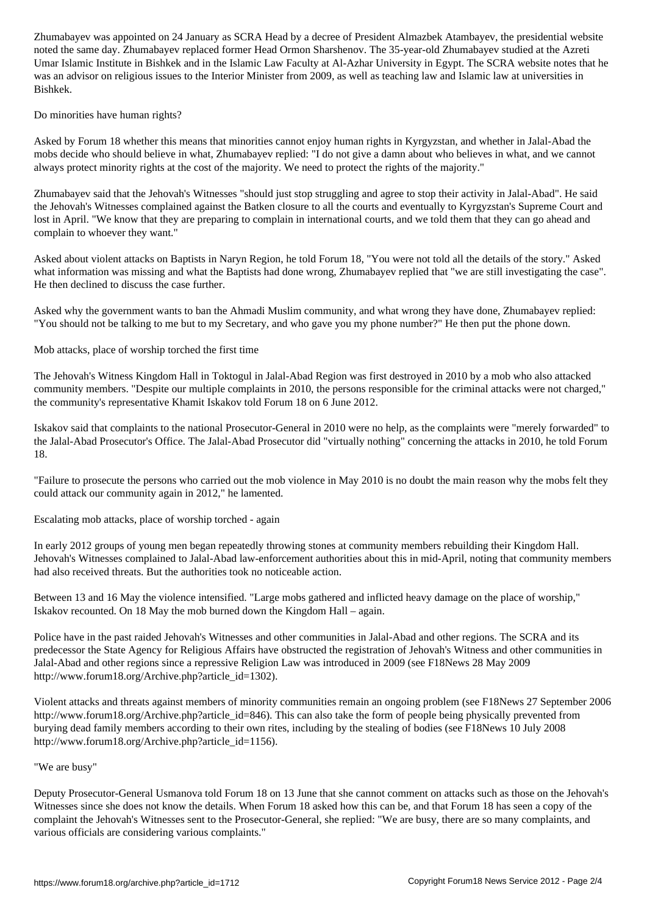noted the same day. Zhumabayev replaced former Head Ormon Sharshenov. The 35-year-old Zhumabayev studied at the Azreti Umar Islamic Institute in Bishkek and in the Islamic Law Faculty at Al-Azhar University in Egypt. The SCRA website notes that he was an advisor on religious issues to the Interior Minister from 2009, as well as teaching law and Islamic law at universities in Bishkek.

Do minorities have human rights?

Asked by Forum 18 whether this means that minorities cannot enjoy human rights in Kyrgyzstan, and whether in Jalal-Abad the mobs decide who should believe in what, Zhumabayev replied: "I do not give a damn about who believes in what, and we cannot always protect minority rights at the cost of the majority. We need to protect the rights of the majority."

Zhumabayev said that the Jehovah's Witnesses "should just stop struggling and agree to stop their activity in Jalal-Abad". He said the Jehovah's Witnesses complained against the Batken closure to all the courts and eventually to Kyrgyzstan's Supreme Court and lost in April. "We know that they are preparing to complain in international courts, and we told them that they can go ahead and complain to whoever they want."

Asked about violent attacks on Baptists in Naryn Region, he told Forum 18, "You were not told all the details of the story." Asked what information was missing and what the Baptists had done wrong, Zhumabayev replied that "we are still investigating the case". He then declined to discuss the case further.

Asked why the government wants to ban the Ahmadi Muslim community, and what wrong they have done, Zhumabayev replied: "You should not be talking to me but to my Secretary, and who gave you my phone number?" He then put the phone down.

Mob attacks, place of worship torched the first time

The Jehovah's Witness Kingdom Hall in Toktogul in Jalal-Abad Region was first destroyed in 2010 by a mob who also attacked community members. "Despite our multiple complaints in 2010, the persons responsible for the criminal attacks were not charged," the community's representative Khamit Iskakov told Forum 18 on 6 June 2012.

Iskakov said that complaints to the national Prosecutor-General in 2010 were no help, as the complaints were "merely forwarded" to the Jalal-Abad Prosecutor's Office. The Jalal-Abad Prosecutor did "virtually nothing" concerning the attacks in 2010, he told Forum 18.

"Failure to prosecute the persons who carried out the mob violence in May 2010 is no doubt the main reason why the mobs felt they could attack our community again in 2012," he lamented.

Escalating mob attacks, place of worship torched - again

In early 2012 groups of young men began repeatedly throwing stones at community members rebuilding their Kingdom Hall. Jehovah's Witnesses complained to Jalal-Abad law-enforcement authorities about this in mid-April, noting that community members had also received threats. But the authorities took no noticeable action.

Between 13 and 16 May the violence intensified. "Large mobs gathered and inflicted heavy damage on the place of worship," Iskakov recounted. On 18 May the mob burned down the Kingdom Hall – again.

Police have in the past raided Jehovah's Witnesses and other communities in Jalal-Abad and other regions. The SCRA and its predecessor the State Agency for Religious Affairs have obstructed the registration of Jehovah's Witness and other communities in Jalal-Abad and other regions since a repressive Religion Law was introduced in 2009 (see F18News 28 May 2009 http://www.forum18.org/Archive.php?article\_id=1302).

Violent attacks and threats against members of minority communities remain an ongoing problem (see F18News 27 September 2006 http://www.forum18.org/Archive.php?article\_id=846). This can also take the form of people being physically prevented from burying dead family members according to their own rites, including by the stealing of bodies (see F18News 10 July 2008 http://www.forum18.org/Archive.php?article\_id=1156).

#### "We are busy"

Deputy Prosecutor-General Usmanova told Forum 18 on 13 June that she cannot comment on attacks such as those on the Jehovah's Witnesses since she does not know the details. When Forum 18 asked how this can be, and that Forum 18 has seen a copy of the complaint the Jehovah's Witnesses sent to the Prosecutor-General, she replied: "We are busy, there are so many complaints, and various officials are considering various complaints."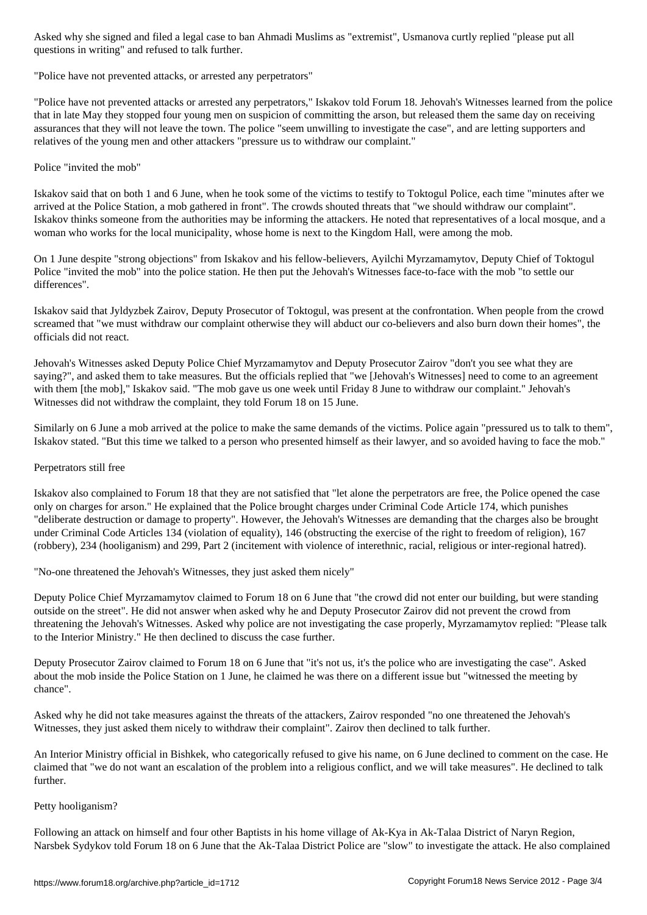$\overline{a}$  and refused to talk further. The functions in  $\overline{a}$ 

"Police have not prevented attacks, or arrested any perpetrators"

"Police have not prevented attacks or arrested any perpetrators," Iskakov told Forum 18. Jehovah's Witnesses learned from the police that in late May they stopped four young men on suspicion of committing the arson, but released them the same day on receiving assurances that they will not leave the town. The police "seem unwilling to investigate the case", and are letting supporters and relatives of the young men and other attackers "pressure us to withdraw our complaint."

Police "invited the mob"

Iskakov said that on both 1 and 6 June, when he took some of the victims to testify to Toktogul Police, each time "minutes after we arrived at the Police Station, a mob gathered in front". The crowds shouted threats that "we should withdraw our complaint". Iskakov thinks someone from the authorities may be informing the attackers. He noted that representatives of a local mosque, and a woman who works for the local municipality, whose home is next to the Kingdom Hall, were among the mob.

On 1 June despite "strong objections" from Iskakov and his fellow-believers, Ayilchi Myrzamamytov, Deputy Chief of Toktogul Police "invited the mob" into the police station. He then put the Jehovah's Witnesses face-to-face with the mob "to settle our differences".

Iskakov said that Jyldyzbek Zairov, Deputy Prosecutor of Toktogul, was present at the confrontation. When people from the crowd screamed that "we must withdraw our complaint otherwise they will abduct our co-believers and also burn down their homes", the officials did not react.

Jehovah's Witnesses asked Deputy Police Chief Myrzamamytov and Deputy Prosecutor Zairov "don't you see what they are saying?", and asked them to take measures. But the officials replied that "we [Jehovah's Witnesses] need to come to an agreement with them [the mob]," Iskakov said. "The mob gave us one week until Friday 8 June to withdraw our complaint." Jehovah's Witnesses did not withdraw the complaint, they told Forum 18 on 15 June.

Similarly on 6 June a mob arrived at the police to make the same demands of the victims. Police again "pressured us to talk to them", Iskakov stated. "But this time we talked to a person who presented himself as their lawyer, and so avoided having to face the mob."

### Perpetrators still free

Iskakov also complained to Forum 18 that they are not satisfied that "let alone the perpetrators are free, the Police opened the case only on charges for arson." He explained that the Police brought charges under Criminal Code Article 174, which punishes "deliberate destruction or damage to property". However, the Jehovah's Witnesses are demanding that the charges also be brought under Criminal Code Articles 134 (violation of equality), 146 (obstructing the exercise of the right to freedom of religion), 167 (robbery), 234 (hooliganism) and 299, Part 2 (incitement with violence of interethnic, racial, religious or inter-regional hatred).

"No-one threatened the Jehovah's Witnesses, they just asked them nicely"

Deputy Police Chief Myrzamamytov claimed to Forum 18 on 6 June that "the crowd did not enter our building, but were standing outside on the street". He did not answer when asked why he and Deputy Prosecutor Zairov did not prevent the crowd from threatening the Jehovah's Witnesses. Asked why police are not investigating the case properly, Myrzamamytov replied: "Please talk to the Interior Ministry." He then declined to discuss the case further.

Deputy Prosecutor Zairov claimed to Forum 18 on 6 June that "it's not us, it's the police who are investigating the case". Asked about the mob inside the Police Station on 1 June, he claimed he was there on a different issue but "witnessed the meeting by chance".

Asked why he did not take measures against the threats of the attackers, Zairov responded "no one threatened the Jehovah's Witnesses, they just asked them nicely to withdraw their complaint". Zairov then declined to talk further.

An Interior Ministry official in Bishkek, who categorically refused to give his name, on 6 June declined to comment on the case. He claimed that "we do not want an escalation of the problem into a religious conflict, and we will take measures". He declined to talk further.

#### Petty hooliganism?

Following an attack on himself and four other Baptists in his home village of Ak-Kya in Ak-Talaa District of Naryn Region, Narsbek Sydykov told Forum 18 on 6 June that the Ak-Talaa District Police are "slow" to investigate the attack. He also complained